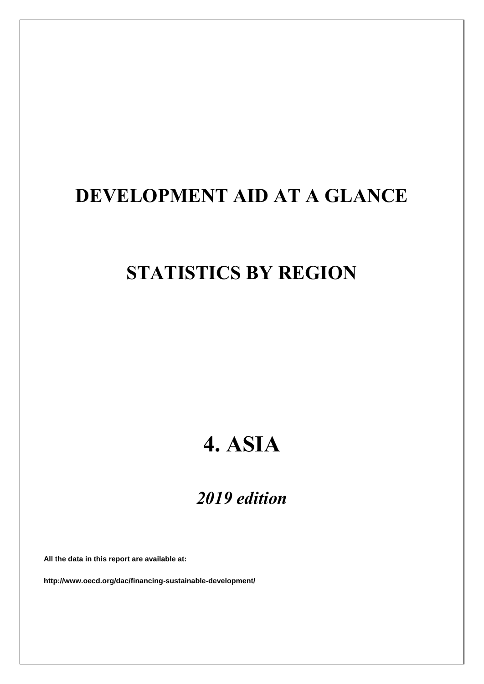# **DEVELOPMENT AID AT A GLANCE**

# **STATISTICS BY REGION**

# **4. ASIA**

# *2019 edition*

**All the data in this report are available at:**

**http://www.oecd.org/dac/financing-sustainable-development/**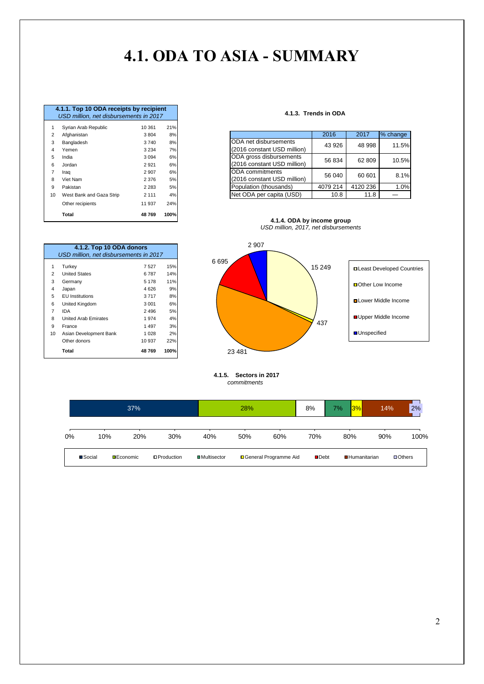# **4.1. ODA TO ASIA - SUMMARY**

|                | 4.1.1. Top 10 ODA receipts by recipient |         |      |
|----------------|-----------------------------------------|---------|------|
|                | USD million, net disbursements in 2017  |         |      |
| 1              | Syrian Arab Republic                    | 10 361  | 21%  |
| 2              | Afghanistan                             | 3804    | 8%   |
| 3              | Bangladesh                              | 3740    | 8%   |
| 4              | Yemen                                   | 3 2 3 4 | 7%   |
| 5              | India                                   | 3 0 9 4 | 6%   |
| 6              | Jordan                                  | 2921    | 6%   |
| $\overline{7}$ | Iraq                                    | 2 9 0 7 | 6%   |
| 8              | Viet Nam                                | 2 3 7 6 | 5%   |
| 9              | Pakistan                                | 2 2 8 3 | 5%   |
| 10             | West Bank and Gaza Strip                | 2 1 1 1 | 4%   |
|                | Other recipients                        | 11 937  | 24%  |
|                | <b>Total</b>                            | 48769   | 100% |

1 Turkey 7 527 15%<br>2 United States 6787 14% 2 United States 6 787<br>
2 Germany 5 178 3 Germany 5 178 11% 4 Japan 4 626 9% 5 EU Institutions 3 717 8% 6 United Kingdom 3 001 6% 7 IDA 2 496 5% 8 United Arab Emirates 1974 4%<br>9 France 1497 3% France 19% and the 1990 19% france 19% and the 19% france 19% and the 19% france 1<br>Asian Development Bank 1928 2%

**4.1.2. Top 10 ODA donors**

*USD million, net disbursements in 2017*

Other donors 10 937 22% **Total 48 769 100%**

10 Asian Development Bank

| 4.1.3.  Trends in ODA |  |
|-----------------------|--|
|                       |  |

| $0$ , $10011, 1000$ , $1000$ | .       | <u>.</u> |                             |          |                            |                            |
|------------------------------|---------|----------|-----------------------------|----------|----------------------------|----------------------------|
| Afghanistan                  | 3804    | 8%       |                             | 2016     | 2017                       | % change                   |
| Bangladesh                   | 3740    | 8%       | ODA net disbursements       |          |                            | 11.5%                      |
| Yemen                        | 3 2 3 4 |          | (2016 constant USD million) |          |                            |                            |
| India                        | 3 0 9 4 | 6%       | ODA gross disbursements     |          |                            | 10.5%                      |
| Jordan                       | 2921    | 6%       | (2016 constant USD million) |          |                            |                            |
| Iraq                         | 2 9 0 7 | 6%       | <b>IODA</b> commitments     |          |                            | 8.1%                       |
| Viet Nam                     | 2 3 7 6 | 5%       | (2016 constant USD million) |          |                            |                            |
| Pakistan                     | 2 2 8 3 | 5%       | Population (thousands)      | 4079 214 | 4120 236                   | 1.0%                       |
| West Bank and Gaza Strip     | 2 1 1 1 | 4%       | Net ODA per capita (USD)    | 10.8     | 11.8                       |                            |
|                              | $5 -$   |          | 7%                          |          | 43 926<br>56 834<br>56 040 | 48 998<br>62 809<br>60 601 |





 **4.1.5. Sectors in 2017**  *commitments*

|    |         | 37%              |                    |                      | 28% |                         | 8%                  | $ 3\% $<br>7%       | 14% | 2%                    |
|----|---------|------------------|--------------------|----------------------|-----|-------------------------|---------------------|---------------------|-----|-----------------------|
| 0% | 10%     | 20%              | 30%                | 40%                  | 50% | 60%                     | 70%                 | 80%                 | 90% | 100%                  |
|    | ■Social | <b>DEconomic</b> | <b>OProduction</b> | <b>□</b> Multisector |     | □ General Programme Aid | $\blacksquare$ Debt | <b>Humanitarian</b> |     | $\blacksquare$ Others |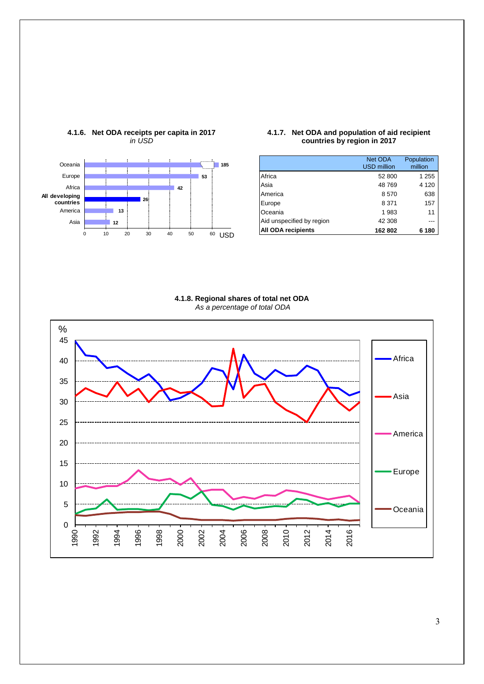

# **4.1.6. Net ODA receipts per capita in 2017** *in USD*

### **4.1.7. Net ODA and population of aid recipient countries by region in 2017**

|                           | Net ODA<br><b>USD</b> million | Population<br>million |
|---------------------------|-------------------------------|-----------------------|
| Africa                    | 52 800                        | 1 2 5 5               |
| Asia                      | 48769                         | 4 1 2 0               |
| America                   | 8570                          | 638                   |
| Europe                    | 8 3 7 1                       | 157                   |
| Oceania                   | 1 983                         | 11                    |
| Aid unspecified by region | 42 308                        |                       |
| <b>All ODA recipients</b> | 162 802                       | 6 180                 |



<span id="page-2-0"></span>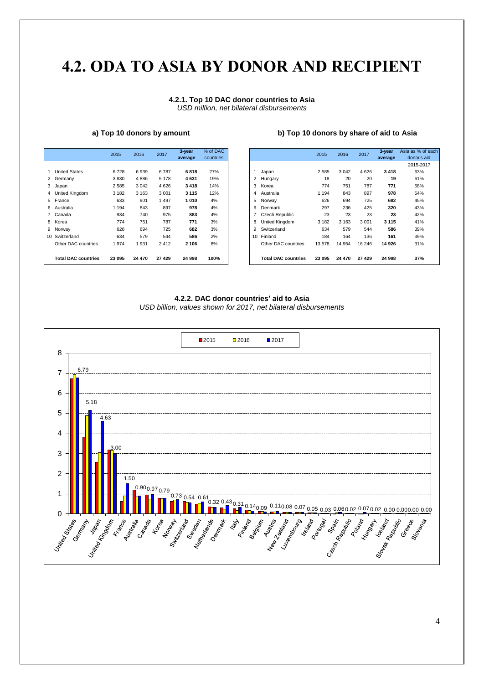# **4.2. ODA [TO](#page-2-0) ASIA BY DONOR AND RECIPIENT**

### **4.2.1. Top 10 DAC donor countries to Asia** *USD million, net bilateral disbursements*

|                            | 2015    | 2016    | 2017    | 3-year<br>average | % of DAC<br>countries |    |                            | 2015    | 2016    | 2017    | 3-year<br>average | Asia as % o |
|----------------------------|---------|---------|---------|-------------------|-----------------------|----|----------------------------|---------|---------|---------|-------------------|-------------|
|                            |         |         |         |                   |                       |    |                            |         |         |         |                   |             |
| <b>United States</b>       | 6728    | 6939    | 6787    | 6818              | 27%                   |    | Japan                      | 2585    | 3 0 4 2 | 4626    | 3418              |             |
| 2 Germany                  | 3830    | 4886    | 5 1 7 8 | 4631              | 19%                   | 2  | Hungary                    | 18      | 20      | 20      | 19                |             |
| 3 Japan                    | 2 5 8 5 | 3 0 4 2 | 4 6 2 6 | 3418              | 14%                   | 3  | Korea                      | 774     | 751     | 787     | 771               |             |
| 4 United Kingdom           | 3 1 8 2 | 3 1 6 3 | 3 0 0 1 | 3 1 1 5           | 12%                   | 4  | Australia                  | 1 1 9 4 | 843     | 897     | 978               |             |
| 5 France                   | 633     | 901     | 1497    | 1010              | 4%                    | 5  | Norway                     | 626     | 694     | 725     | 682               |             |
| 6 Australia                | 1 1 9 4 | 843     | 897     | 978               | 4%                    | 6  | Denmark                    | 297     | 236     | 425     | 320               |             |
| 7 Canada                   | 934     | 740     | 975     | 883               | 4%                    |    | <b>Czech Republic</b>      | 23      | 23      | 23      | 23                |             |
| 8 Korea                    | 774     | 751     | 787     | 771               | 3%                    | 8  | <b>United Kingdom</b>      | 3 1 8 2 | 3 1 6 3 | 3 0 0 1 | 3 1 1 5           |             |
| 9 Norway                   | 626     | 694     | 725     | 682               | 3%                    | 9  | Switzerland                | 634     | 579     | 544     | 586               |             |
| 10 Switzerland             | 634     | 579     | 544     | 586               | 2%                    | 10 | Finland                    | 184     | 164     | 136     | 161               |             |
| Other DAC countries        | 1974    | 1931    | 2412    | 2 1 0 6           | 8%                    |    | Other DAC countries        | 13578   | 14 9 54 | 16 24 6 | 14 926            |             |
| <b>Total DAC countries</b> | 23 095  | 24 470  | 27 4 29 | 24 998            | 100%                  |    | <b>Total DAC countries</b> | 23 095  | 24 470  | 27 4 29 | 24 998            |             |

# **a) Top 10 donors by amount b) Top 10 donors by share of aid to Asia**

|                            | 2015    | 2016    | 2017    | 3-year<br>average | % of DAC<br>countries |
|----------------------------|---------|---------|---------|-------------------|-----------------------|
|                            |         |         |         |                   |                       |
| <b>United States</b>       | 6728    | 6939    | 6787    | 6818              | 27%                   |
| Germany                    | 3830    | 4886    | 5 1 7 8 | 4631              | 19%                   |
| Japan                      | 2585    | 3042    | 4 6 2 6 | 3418              | 14%                   |
| United Kingdom             | 3 1 8 2 | 3 1 6 3 | 3 0 0 1 | 3 1 1 5           | 12%                   |
| France                     | 633     | 901     | 1497    | 1010              | 4%                    |
| Australia                  | 1 194   | 843     | 897     | 978               | 4%                    |
| Canada                     | 934     | 740     | 975     | 883               | 4%                    |
| Korea                      | 774     | 751     | 787     | 771               | 3%                    |
| Norway                     | 626     | 694     | 725     | 682               | 3%                    |
| Switzerland                | 634     | 579     | 544     | 586               | 2%                    |
| Other DAC countries        | 1974    | 1931    | 2412    | 2 1 0 6           | 8%                    |
| <b>Total DAC countries</b> | 23 095  | 24 470  | 27 4 29 | 24 998            | 100%                  |

### **4.2.2. DAC donor countries' aid to Asia**

*USD billion, values shown for 2017, net bilateral disbursements*

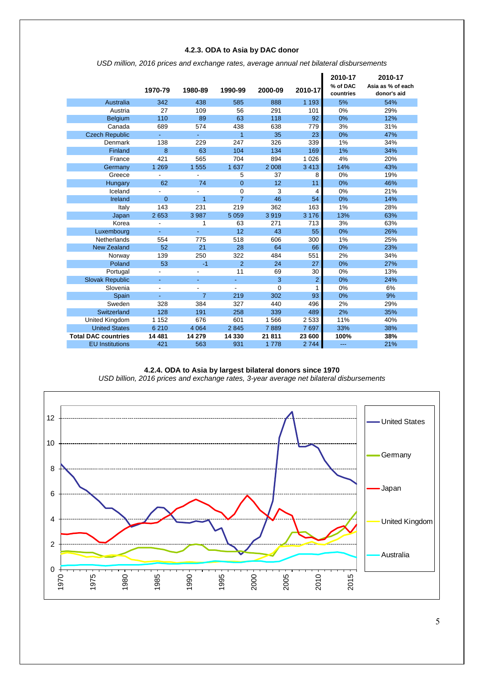# **4.2.3. ODA to Asia by DAC donor**

|                            |                |                |                |          |                | 2010-17               | 2010-17                          |
|----------------------------|----------------|----------------|----------------|----------|----------------|-----------------------|----------------------------------|
|                            | 1970-79        | 1980-89        | 1990-99        | 2000-09  | 2010-17        | % of DAC<br>countries | Asia as % of each<br>donor's aid |
| Australia                  | 342            | 438            | 585            | 888      | 1 1 9 3        | 5%                    | 54%                              |
| Austria                    | 27             | 109            | 56             | 291      | 101            | 0%                    | 29%                              |
| <b>Belgium</b>             | 110            | 89             | 63             | 118      | 92             | 0%                    | 12%                              |
| Canada                     | 689            | 574            | 438            | 638      | 779            | 3%                    | 31%                              |
| <b>Czech Republic</b>      | ÷,             | ÷.             | 1              | 35       | 23             | 0%                    | 47%                              |
| Denmark                    | 138            | 229            | 247            | 326      | 339            | 1%                    | 34%                              |
| Finland                    | 8              | 63             | 104            | 134      | 169            | 1%                    | 34%                              |
| France                     | 421            | 565            | 704            | 894      | 1 0 2 6        | 4%                    | 20%                              |
| Germany                    | 1 2 6 9        | 1 555          | 1 637          | 2 0 0 8  | 3413           | 14%                   | 43%                              |
| Greece                     |                |                | 5              | 37       | 8              | 0%                    | 19%                              |
| Hungary                    | 62             | 74             | $\overline{0}$ | 12       | 11             | 0%                    | 46%                              |
| Iceland                    |                |                | $\Omega$       | 3        | 4              | 0%                    | 21%                              |
| Ireland                    | $\overline{0}$ | 1              | $\overline{7}$ | 46       | 54             | 0%                    | 14%                              |
| Italy                      | 143            | 231            | 219            | 362      | 163            | 1%                    | 28%                              |
| Japan                      | 2 6 5 3        | 3 9 8 7        | 5 0 5 9        | 3919     | 3 1 7 6        | 13%                   | 63%                              |
| Korea                      |                | 1              | 63             | 271      | 713            | 3%                    | 63%                              |
| Luxembourg                 |                |                | 12             | 43       | 55             | 0%                    | 26%                              |
| Netherlands                | 554            | 775            | 518            | 606      | 300            | 1%                    | 25%                              |
| <b>New Zealand</b>         | 52             | 21             | 28             | 64       | 66             | 0%                    | 23%                              |
| Norway                     | 139            | 250            | 322            | 484      | 551            | 2%                    | 34%                              |
| Poland                     | 53             | $-1$           | $\overline{2}$ | 24       | 27             | 0%                    | 27%                              |
| Portugal                   |                |                | 11             | 69       | 30             | 0%                    | 13%                              |
| <b>Slovak Republic</b>     |                |                |                | 3        | $\overline{2}$ | 0%                    | 24%                              |
| Slovenia                   |                |                |                | $\Omega$ |                | 0%                    | 6%                               |
| Spain                      |                | $\overline{7}$ | 219            | 302      | 93             | 0%                    | 9%                               |
| Sweden                     | 328            | 384            | 327            | 440      | 496            | 2%                    | 29%                              |
| Switzerland                | 128            | 191            | 258            | 339      | 489            | 2%                    | 35%                              |
| United Kingdom             | 1 1 5 2        | 676            | 601            | 1566     | 2 5 3 3        | 11%                   | 40%                              |
| <b>United States</b>       | 6 2 1 0        | 4 0 64         | 2845           | 7889     | 7697           | 33%                   | 38%                              |
| <b>Total DAC countries</b> | 14 481         | 14 279         | 14 330         | 21 811   | 23 600         | 100%                  | 38%                              |
| <b>EU</b> Institutions     | 421            | 563            | 931            | 1 7 7 8  | 2744           | ---                   | 21%                              |

*USD million, 2016 prices and exchange rates, average annual net bilateral disbursements*

### **4.2.4. ODA to Asia by largest bilateral donors since 1970** *USD billion, 2016 prices and exchange rates, 3-year average net bilateral disbursements*

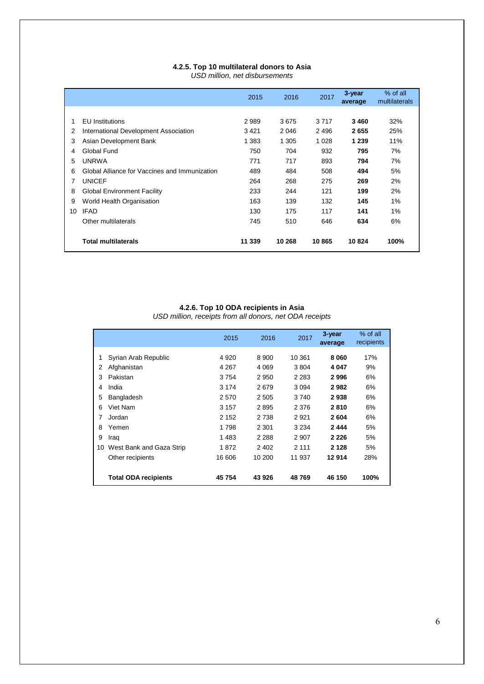# **4.2.5. Top 10 multilateral donors to Asia**

*USD million, net disbursements*

|    |                                               | 2015    | 2016    | 2017    | 3-year<br>average | % of all<br>multilaterals |
|----|-----------------------------------------------|---------|---------|---------|-------------------|---------------------------|
|    |                                               |         |         |         |                   |                           |
| 1  | <b>EU</b> Institutions                        | 2989    | 3675    | 3 7 1 7 | 3460              | 32%                       |
| 2  | International Development Association         | 3421    | 2046    | 2496    | 2655              | 25%                       |
| 3  | Asian Development Bank                        | 1 3 8 3 | 1 3 0 5 | 1 0 2 8 | 1 2 3 9           | 11%                       |
| 4  | Global Fund                                   | 750     | 704     | 932     | 795               | 7%                        |
| 5  | <b>UNRWA</b>                                  | 771     | 717     | 893     | 794               | 7%                        |
| 6  | Global Alliance for Vaccines and Immunization | 489     | 484     | 508     | 494               | 5%                        |
| 7  | <b>UNICEF</b>                                 | 264     | 268     | 275     | 269               | 2%                        |
| 8  | <b>Global Environment Facility</b>            | 233     | 244     | 121     | 199               | 2%                        |
| 9  | World Health Organisation                     | 163     | 139     | 132     | 145               | 1%                        |
| 10 | <b>IFAD</b>                                   | 130     | 175     | 117     | 141               | 1%                        |
|    | Other multilaterals                           | 745     | 510     | 646     | 634               | 6%                        |
|    | <b>Total multilaterals</b>                    | 11 339  | 10 268  | 10865   | 10824             | 100%                      |

#### **4.2.6. Top 10 ODA recipients in Asia**

*USD million, receipts from all donors, net ODA receipts*

|    |                             | 2015    | 2016    | 2017    | 3-year<br>average | % of all<br>recipients |
|----|-----------------------------|---------|---------|---------|-------------------|------------------------|
| 1  | Syrian Arab Republic        | 4 9 2 0 | 8900    | 10 361  | 8060              | 17%                    |
|    |                             |         |         |         |                   |                        |
| 2  | Afghanistan                 | 4 2 6 7 | 4 0 6 9 | 3804    | 4 047             | 9%                     |
| 3  | Pakistan                    | 3754    | 2950    | 2 2 8 3 | 2996              | 6%                     |
| 4  | India                       | 3 1 7 4 | 2679    | 3 0 9 4 | 2982              | 6%                     |
| 5  | Bangladesh                  | 2570    | 2505    | 3740    | 2938              | 6%                     |
| 6  | Viet Nam                    | 3 1 5 7 | 2895    | 2 3 7 6 | 2810              | 6%                     |
| 7  | Jordan                      | 2 1 5 2 | 2 7 3 8 | 2921    | 2604              | 6%                     |
| 8  | Yemen                       | 1798    | 2 3 0 1 | 3 2 3 4 | 2444              | 5%                     |
| 9  | Iraq                        | 1483    | 2 2 8 8 | 2 907   | 2 2 2 6           | 5%                     |
| 10 | West Bank and Gaza Strip    | 1872    | 2 4 0 2 | 2 1 1 1 | 2 1 2 8           | 5%                     |
|    | Other recipients            | 16 606  | 10 200  | 11 937  | 12914             | 28%                    |
|    | <b>Total ODA recipients</b> | 45 754  | 43 926  | 48769   | 46 150            | 100%                   |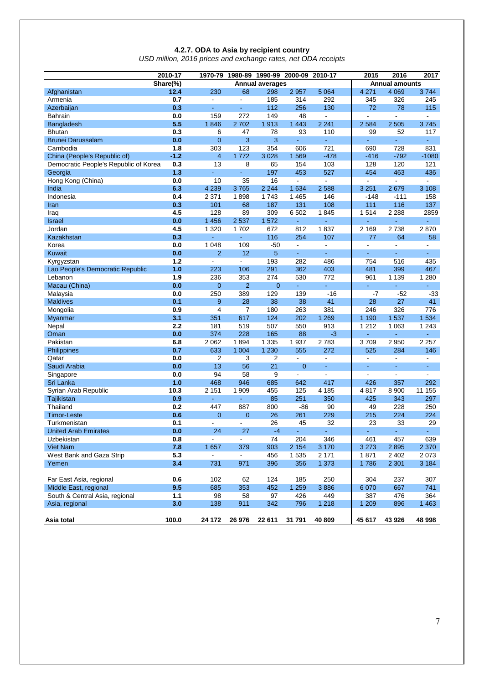### **4.2.7. ODA to Asia by recipient country**

*USD million, 2016 prices and exchange rates, net ODA receipts*

| 2010-17                               | 1970-79  | 1980-89                  | 2015           | 2016<br>2017           |                |                  |                |                       |                |
|---------------------------------------|----------|--------------------------|----------------|------------------------|----------------|------------------|----------------|-----------------------|----------------|
|                                       | Share(%) |                          |                | <b>Annual averages</b> |                |                  |                | <b>Annual amounts</b> |                |
| Afghanistan                           | 12.4     | 230                      | 68             | 298                    | 2 9 5 7        | 5 0 64           | 4 2 7 1        | 4 0 6 9               | 3744           |
| Armenia                               | 0.7      | $\blacksquare$           | $\blacksquare$ | 185                    | 314            | 292              | 345            | 326                   | 245            |
| Azerbaijan                            | 0.3      | ÷.                       | $\omega$       | 112                    | 256            | 130              | 72             | 78                    | 115            |
| <b>Bahrain</b>                        | 0.0      | 159                      | 272            | 149                    | 48             | $\blacksquare$   | L.             | ä,                    | $\blacksquare$ |
| Bangladesh                            | 5.5      | 1846                     | 2702           | 1913                   | 1 4 4 3        | 2 2 4 1          | 2584           | 2 5 0 5               | 3745           |
| <b>Bhutan</b>                         | 0.3      | 6                        | 47             | 78                     | 93             | 110              | 99             | 52                    | 117            |
| <b>Brunei Darussalam</b>              | 0.0      | $\overline{0}$           | 3              | 3                      |                | ä,               | ä,             |                       | ä,             |
| Cambodia                              | 1.8      | 303                      | 123            | 354                    | 606            | 721              | 690            | 728                   | 831            |
| China (People's Republic of)          | $-1.2$   | 4                        | 1772           | 3 0 28                 | 1569           | $-478$           | $-416$         | $-792$                | $-1080$        |
| Democratic People's Republic of Korea | 0.3      | 13                       | 8              | 65                     | 154            | 103              | 128            | 120                   | 121            |
| Georgia                               | 1.3      |                          | $\omega$       | 197                    | 453            | 527              | 454            | 463                   | 436            |
| Hong Kong (China)                     | 0.0      | 10                       | 35             | 16                     | $\blacksquare$ | $\blacksquare$   | $\blacksquare$ | $\blacksquare$        | $\blacksquare$ |
| India                                 | 6.3      | 4 2 3 9                  | 3765           | 2 2 4 4                | 1 634          | 2588             | 3 2 5 1        | 2679                  | 3 1 0 8        |
| Indonesia                             | 0.4      | 2 3 7 1                  | 1898           | 1743                   | 1 4 6 5        | 146              | $-148$         | $-111$                | 158            |
| Iran                                  | 0.3      | 101                      | 68             | 187                    | 131            | 108              | 111            | 116                   | 137            |
| Iraq                                  | 4.5      | 128                      | 89             | 309                    | 6 5 0 2        | 1845             | 1514           | 2 2 8 8               | 2859           |
| <b>Israel</b>                         | 0.0      | 1 4 5 6                  | 2537           | 1 572                  |                | L,               | ä,             |                       |                |
| Jordan                                | 4.5      | 1 3 2 0                  | 1702           | 672                    | 812            | 1837             | 2 1 6 9        | 2738                  | 2870           |
| Kazakhstan                            | 0.3      | ä,                       | ä,             | 116                    | 254            | 107              | 77             | 64                    | 58             |
| Korea                                 | 0.0      | 1 0 4 8                  | 109            | $-50$                  | $\blacksquare$ | $\blacksquare$   | $\blacksquare$ | $\blacksquare$        | $\blacksquare$ |
| <b>Kuwait</b>                         | 0.0      | $\overline{2}$           | 12             | 5                      | ÷.             | a.               | $\blacksquare$ | ÷.                    | ä,             |
| Kyrgyzstan                            | 1.2      | $\overline{\phantom{a}}$ | $\blacksquare$ | 193                    | 282            | 486              | 754            | 516                   | 435            |
| Lao People's Democratic Republic      | 1.0      | 223                      | 106            | 291                    | 362            | 403              | 481            | 399                   | 467            |
| Lebanon                               | 1.9      | 236                      | 353            | 274                    | 530            | 772              | 961            | 1 1 3 9               | 1 2 8 0        |
| Macau (China)                         | 0.0      | $\mathbf 0$              | $\overline{2}$ | 0                      |                | $\omega_{\rm c}$ | ä,             | ÷.                    | ÷              |
| Malaysia                              | 0.0      | 250                      | 389            | 129                    | 139            | $-16$            | $-7$           | $-52$                 | $-33$          |
| <b>Maldives</b>                       | 0.1      | 9                        | 28             | 38                     | 38             | 41               | 28             | 27                    | 41             |
| Mongolia                              | 0.9      | $\overline{4}$           | $\overline{7}$ | 180                    | 263            | 381              | 246            | 326                   | 776            |
| Myanmar                               | 3.1      | 351                      | 617            | 124                    | 202            | 1 2 6 9          | 1 1 9 0        | 1537                  | 1 5 3 4        |
| Nepal                                 | 2.2      | 181                      | 519            | 507                    | 550            | 913              | 1 2 1 2        | 1 0 6 3               | 1 2 4 3        |
| Oman                                  | 0.0      | 374                      | 228            | 165                    | 88             | -3               | ÷,             | ÷,                    | ٠              |
| Pakistan                              | 6.8      | 2 0 6 2                  | 1894           | 1 3 3 5                | 1937           | 2783             | 3709           | 2950                  | 2 2 5 7        |
| Philippines                           | 0.7      | 633                      | 1 0 0 4        | 1 2 3 0                | 555            | 272              | 525            | 284                   | 146            |
| Qatar                                 | 0.0      | $\overline{2}$           | 3              | $\overline{2}$         | $\blacksquare$ | $\blacksquare$   | $\blacksquare$ | ÷,                    | $\blacksquare$ |
| Saudi Arabia                          | 0.0      | 13                       | 56             | 21                     | $\overline{0}$ | $\omega$         | ä,             | ä,                    | $\blacksquare$ |
| Singapore                             | 0.0      | 94                       | 58             | 9                      | $\blacksquare$ | $\blacksquare$   | $\overline{a}$ | ä,                    | $\blacksquare$ |
| Sri Lanka                             | 1.0      | 468                      | 946            | 685                    | 642            | 417              | 426            | 357                   | 292            |
| Syrian Arab Republic                  | 10.3     | 2 1 5 1                  | 1 909          | 455                    | 125            | 4 1 8 5          | 4817           | 8900                  | 11 155         |
| Tajikistan                            | 0.9      | ä,                       | Ξ              | 85                     | 251            | 350              | 425            | 343                   | 297            |
| Thailand                              | 0.2      | 447                      | 887            | 800                    | -86            | 90               | 49             | 228                   | 250            |
| Timor-Leste                           | 0.6      | $\overline{0}$           | $\mathbf 0$    | 26                     | 261            | 229              | 215            | 224                   | 224            |
| Turkmenistan                          | 0.1      | ÷.                       | $\mathbf{r}$   | 26                     | 45             | 32               | 23             | 33                    | 29             |
| <b>United Arab Emirates</b>           | 0.0      | 24                       | 27             | $-4$                   |                |                  |                |                       |                |
| Uzbekistan                            | 0.8      | $\blacksquare$           | $\blacksquare$ | 74                     | 204            | 346              | 461            | 457                   | 639            |
| <b>Viet Nam</b>                       | 7.8      | 1 657                    | 379            | 903                    | 2 1 5 4        | 3 1 7 0          | 3 2 7 3        | 2895                  | 2 3 7 0        |
| West Bank and Gaza Strip              | 5.3      | $\blacksquare$           | $\blacksquare$ | 456                    | 1 5 3 5        | 2 1 7 1          | 1871           | 2 4 0 2               | 2 0 7 3        |
| Yemen                                 | 3.4      | 731                      | 971            | 396                    | 356            | 1 3 7 3          | 1786           | 2 3 0 1               | 3 1 8 4        |
|                                       |          |                          |                |                        |                |                  |                |                       |                |
| Far East Asia, regional               | 0.6      | 102                      | 62             | 124                    | 185            | 250              | 304            | 237                   | 307            |
| Middle East, regional                 | 9.5      | 685                      | 353            | 452                    | 1 2 5 9        | 3886             | 6 0 7 0        | 667                   | 741            |
| South & Central Asia, regional        | 1.1      | 98                       | 58             | 97                     | 426            | 449              | 387            | 476                   | 364            |
| Asia, regional                        | 3.0      | 138                      | 911            | 342                    | 796            | 1 2 1 8          | 1 2 0 9        | 896                   | 1 4 6 3        |
|                                       |          |                          |                |                        |                |                  |                |                       |                |
| Asia total                            | 100.0    | 24 172                   | 26 976         | 22 611                 | 31 791         | 40 809           | 45 617         | 43 926                | 48 998         |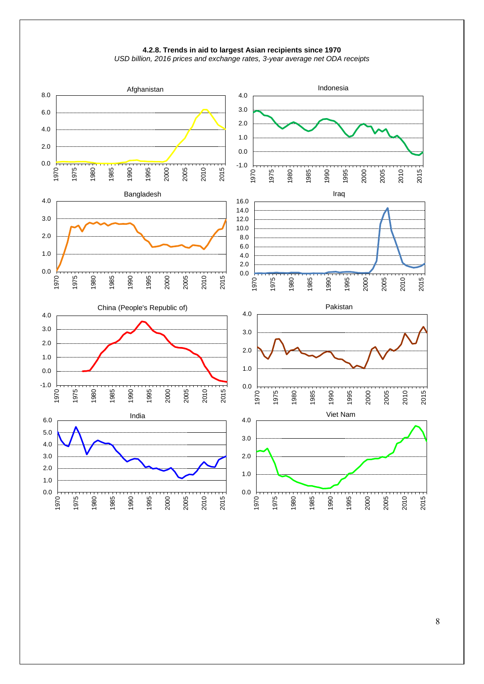



*USD billion, 2016 prices and exchange rates, 3-year average net ODA receipts*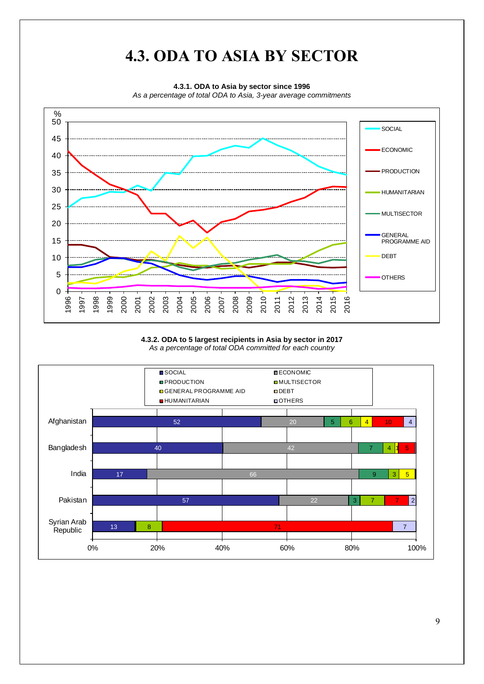# **4.3. ODA TO ASIA BY SECTOR**

**4.3.1. ODA to Asia by sector since 1996**

*As a percentage of total ODA to Asia, 3-year average commitments*



### **4.3.2. ODA to 5 largest recipients in Asia by sector in 2017** *As a percentage of total ODA committed for each country*

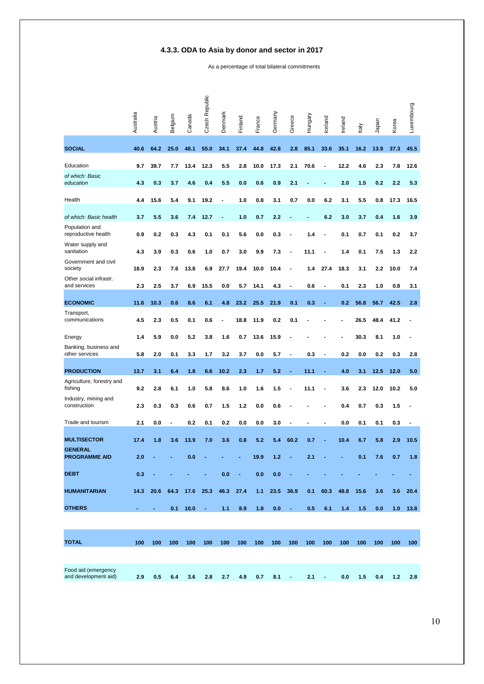# **4.3.3. ODA to Asia by donor and sector in 2017**

As a percentage of total bilateral commitments

|                                         | Australia | Austria             | Belgium | Canada   | Czech Republic | Denmark        | Finland    | France  | Germany | Greece         | Hungary | Iceland | Ireland | taly | Japan | Korea | Luxembourg |
|-----------------------------------------|-----------|---------------------|---------|----------|----------------|----------------|------------|---------|---------|----------------|---------|---------|---------|------|-------|-------|------------|
| <b>SOCIAL</b>                           | 40.6      | 64.2                | 25.0    | 48.1     | 55.0           | 34.1           | 37.4       | 44.8    | 42.8    | 2.8            | 85.1    | 33.6    | 35.1    | 16.2 | 13.9  | 37.3  | 45.5       |
| Education                               | 9.7       | 39.7                | 7.7     | 13.4     | 12.3           | 5.5            | 2.8        | 10.0    | 17.3    | 2.1            | 70.6    |         | 12.2    | 4.6  | 2.3   | 7.8   | 12.6       |
| of which: Basic<br>education            | 4.3       | 0.3                 | 3.7     | 4.6      | 0.4            | 5.5            | 0.0        | 0.6     | 0.9     | 2.1            |         |         | 2.0     | 1.5  | 0.2   | 2.2   | 5.3        |
| Health                                  | 4.4       | 15.6                | 5.4     | 9.1      | 19.2           | $\blacksquare$ | 1.0        | 0.8     | 3.1     | 0.7            | 0.0     | 6.2     | 3.1     | 5.5  | 0.8   | 17.3  | 16.5       |
| of which: Basic health                  | 3.7       | 5.5                 | 3.6     | 7.4      | 12.7           |                | 1.0        | 0.7     | 2.2     |                |         | 6.2     | 3.0     | 3.7  | 0.4   | 1.6   | 3.9        |
| Population and<br>reproductive health   | 0.9       | 0.2                 | 0.3     | 4.3      | 0.1            | 0.1            | 5.6        | 0.0     | 0.3     | ÷,             | 1.4     |         | 0.1     | 0.7  | 0.1   | 0.2   | 3.7        |
| Water supply and<br>sanitation          | 4.3       | 3.9                 | 0.3     | 0.6      | 1.0            | 0.7            | 3.0        | 9.9     | 7.3     |                | 11.1    |         | 1.4     | 0.1  | 7.5   | 1.3   | 2.2        |
| Government and civil<br>society         | 18.9      | 2.3                 | 7.6     | 13.8     | 6.9            | 27.7           | 19.4       | 10.0    | 10.4    | $\blacksquare$ | 1.4     | 27.4    | 18.3    | 3.1  | 2.2   | 10.0  | 7.4        |
| Other social infrastr.<br>and services  | 2.3       | 2.5                 | 3.7     | 6.9      | 15.5           | 0.0            | 5.7        | 14.1    | 4.3     |                | 0.6     |         | 0.1     | 2.3  | 1.0   | 0.8   | 3.1        |
| <b>ECONOMIC</b>                         | 11.6      | 10.3                | 0.6     | 8.6      | 6.1            | 4.8            | 23.2       | 25.5    | 21.9    | 0.1            | 0.3     |         | 0.2     | 56.8 | 56.7  | 42.5  | 2.8        |
| Transport,<br>communications            | 4.5       | 2.3                 | 0.5     | 0.1      | 0.6            |                | 18.8       | 11.9    | 0.2     | 0.1            |         |         |         | 26.5 | 48.4  | 41.2  |            |
| Energy                                  | 1.4       | 5.9                 | 0.0     | 5.2      | 3.8            | 1.6            | 0.7        | 13.6    | 15.9    |                |         |         |         | 30.3 | 8.1   | 1.0   |            |
| Banking, business and<br>other services | 5.8       | 2.0                 | 0.1     | 3.3      | 1.7            | 3.2            | 3.7        | 0.0     | 5.7     |                | 0.3     |         | 0.2     | 0.0  | 0.2   | 0.3   | 2.8        |
| <b>PRODUCTION</b>                       | 13.7      | 3.1                 | 6.4     | 1.8      | 6.6            | 10.2           | 2.3        | 1.7     | 5.2     | $\blacksquare$ | 11.1    |         | 4.0     | 3.1  | 12.5  | 12.0  | 5.0        |
| Agriculture, forestry and<br>fishing    | 9.2       | 2.8                 | 6.1     | 1.0      | 5.8            | 8.6            | 1.0        | 1.6     | 1.5     |                | 11.1    |         | 3.6     | 2.3  | 12.0  | 10.2  | 5.0        |
| Industry, mining and<br>construction    | 2.3       | 0.3                 | 0.3     | 0.6      | 0.7            | 1.5            | 1.2        | 0.0     | 0.6     |                |         |         | 0.4     | 0.7  | 0.3   | 1.5   |            |
| Trade and tourism                       | 2.1       | 0.0                 |         | 0.2      | 0.1            | 0.2            | 0.0        | 0.0     | 3.0     |                |         |         | 0.0     | 0.1  | 0.1   | 0.3   |            |
| <b>MULTISECTOR</b>                      | 17.4      | 1.8                 | 3.6     | 13.9     | 7.0            | 3.6            | 0.8        | 5.2     | 5.4     | 60.2           | 0.7     |         | 10.4    | 6.7  | 5.8   | 2.9   | 10.5       |
| <b>GENERAL</b><br><b>PROGRAMME AID</b>  | 2.0       |                     |         | 0.0      |                |                |            | 19.9    | 1.2     |                | 2.1     |         |         | 0.1  | 7.6   | 0.7   | 1.8        |
| <b>DEBT</b>                             | 0.3       |                     |         |          |                | 0.0            | $\sim 100$ | 0.0     | 0.0     |                |         |         |         |      |       |       |            |
| <b>HUMANITARIAN</b>                     |           | 14.3 20.6 64.3 17.6 |         |          | 25.3           | 46.3           | 27.4       | $1.1 -$ | 23.5    | 36.9           | 0.1     | 60.3    | 48.8    | 15.6 | 3.6   |       | $3.6$ 20.4 |
| <b>OTHERS</b>                           |           | ٠                   |         | 0.1 10.0 | $\sim$         | 1.1            | 8.9        | 1.8     | 0.0     | $\blacksquare$ | 0.5     | 6.1     | 1.4     | 1.5  | 0.0   |       | $1.0$ 13.8 |
|                                         |           |                     |         |          |                |                |            |         |         |                |         |         |         |      |       |       |            |

| 100 | 100 | 100 | 100 | 100 | 100 | 100                   | 100 | 100 | 100 | 100 | 100              | 100                   | 100 | 100 | 100 | 100                   |
|-----|-----|-----|-----|-----|-----|-----------------------|-----|-----|-----|-----|------------------|-----------------------|-----|-----|-----|-----------------------|
|     |     |     |     |     |     |                       |     |     |     |     |                  |                       |     |     |     |                       |
|     |     |     |     |     |     |                       |     |     |     |     |                  |                       |     |     |     |                       |
| 2.9 |     |     |     |     |     |                       |     |     |     |     |                  |                       |     |     |     |                       |
|     |     |     |     |     |     | $0.5$ 6.4 3.6 2.8 2.7 |     |     |     |     | 4.9  0.7  8.1  - | $\angle$ 2.1 $\angle$ |     |     |     | $0.0$ 1.5 0.4 1.2 2.8 |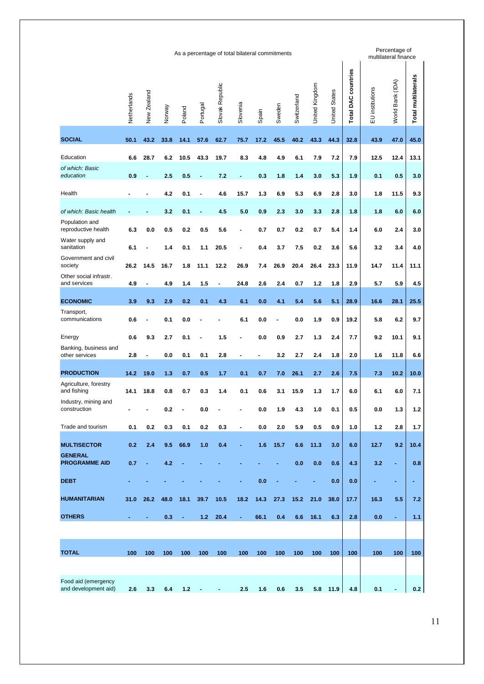| Netherlands<br><b>SOCIAL</b><br>50.1<br>Education<br>6.6<br>of which: Basic<br>education<br>0.9<br>Health<br>of which: Basic health<br>Population and<br>reproductive health<br>6.3<br>Water supply and<br>sanitation<br>6.1<br>Government and civil<br>society<br>26.2<br>Other social infrastr.<br>and services<br>4.9<br><b>ECONOMIC</b><br>3.9<br>Transport,<br>communications<br>0.6<br>0.6<br>Energy<br>Banking, business and<br>other services<br>2.8<br><b>PRODUCTION</b><br>14.2<br>Agriculture, forestry<br>and fishing<br>14.1<br>Industry, mining and<br>construction<br>$\overline{\phantom{0}}$ | New Zealand<br>43.2<br>28.7<br>٠<br>0.0<br>14.5<br>$\overline{a}$ | Norway<br>33.8<br>6.2<br>2.5<br>4.2<br>3.2<br>0.5<br>1.4 | Poland<br>14.1<br>10.5<br>0.5<br>0.1<br>0.1<br>0.2 | Portugal<br>57.6<br>43.3<br>٠<br>÷ | Slovak Republic<br>62.7<br>19.7<br>7.2<br>4.6<br>4.5 | Slovenia<br>75.7<br>8.3<br>٠<br>15.7 | Spain<br>17.2<br>4.8<br>0.3 | Sweden<br>45.5<br>4.9<br>1.8 | Switzerland<br>40.2<br>6.1 | United Kingdom<br>43.3<br>7.9 | <b>United States</b><br>44.3<br>7.2 | <b>Total DAC countries</b><br>32.8<br>7.9 | EU institutions<br>43.9<br>12.5 | World Bank (IDA)<br>47.0<br>12.4 | Total multilaterals<br>45.0<br>13.1 |
|---------------------------------------------------------------------------------------------------------------------------------------------------------------------------------------------------------------------------------------------------------------------------------------------------------------------------------------------------------------------------------------------------------------------------------------------------------------------------------------------------------------------------------------------------------------------------------------------------------------|-------------------------------------------------------------------|----------------------------------------------------------|----------------------------------------------------|------------------------------------|------------------------------------------------------|--------------------------------------|-----------------------------|------------------------------|----------------------------|-------------------------------|-------------------------------------|-------------------------------------------|---------------------------------|----------------------------------|-------------------------------------|
|                                                                                                                                                                                                                                                                                                                                                                                                                                                                                                                                                                                                               |                                                                   |                                                          |                                                    |                                    |                                                      |                                      |                             |                              |                            |                               |                                     |                                           |                                 |                                  |                                     |
|                                                                                                                                                                                                                                                                                                                                                                                                                                                                                                                                                                                                               |                                                                   |                                                          |                                                    |                                    |                                                      |                                      |                             |                              |                            |                               |                                     |                                           |                                 |                                  |                                     |
|                                                                                                                                                                                                                                                                                                                                                                                                                                                                                                                                                                                                               |                                                                   |                                                          |                                                    |                                    |                                                      |                                      |                             |                              |                            |                               |                                     |                                           |                                 |                                  |                                     |
|                                                                                                                                                                                                                                                                                                                                                                                                                                                                                                                                                                                                               |                                                                   |                                                          |                                                    |                                    |                                                      |                                      |                             |                              | 1.4                        | 3.0                           | 5.3                                 | 1.9                                       | 0.1                             | 0.5                              | 3.0                                 |
|                                                                                                                                                                                                                                                                                                                                                                                                                                                                                                                                                                                                               |                                                                   |                                                          |                                                    |                                    |                                                      |                                      | 1.3                         | 6.9                          | 5.3                        | 6.9                           | 2.8                                 | 3.0                                       | 1.8                             | 11.5                             | 9.3                                 |
|                                                                                                                                                                                                                                                                                                                                                                                                                                                                                                                                                                                                               |                                                                   |                                                          |                                                    |                                    |                                                      | 5.0                                  | 0.9                         | 2.3                          | 3.0                        | 3.3                           | 2.8                                 | 1.8                                       | 1.8                             | 6.0                              | 6.0                                 |
|                                                                                                                                                                                                                                                                                                                                                                                                                                                                                                                                                                                                               |                                                                   |                                                          |                                                    | 0.5                                | 5.6                                                  |                                      | 0.7                         | 0.7                          | 0.2                        | 0.7                           | 5.4                                 | 1.4                                       | 6.0                             | 2.4                              | 3.0                                 |
|                                                                                                                                                                                                                                                                                                                                                                                                                                                                                                                                                                                                               |                                                                   |                                                          | 0.1                                                | 1.1                                | 20.5                                                 | ۰                                    | 0.4                         | 3.7                          | 7.5                        | 0.2                           | 3.6                                 | 5.6                                       | 3.2                             | 3.4                              | 4.0                                 |
|                                                                                                                                                                                                                                                                                                                                                                                                                                                                                                                                                                                                               |                                                                   | 16.7                                                     | 1.8                                                | 11.1                               | 12.2                                                 | 26.9                                 | 7.4                         | 26.9                         | 20.4                       | 26.4                          | 23.3                                | 11.9                                      | 14.7                            | 11.4                             | 11.1                                |
|                                                                                                                                                                                                                                                                                                                                                                                                                                                                                                                                                                                                               |                                                                   | 4.9                                                      | 1.4                                                | 1.5                                | $\blacksquare$                                       | 24.8                                 | 2.6                         | 2.4                          | 0.7                        | 1.2                           | 1.8                                 | 2.9                                       | 5.7                             | 5.9                              | 4.5                                 |
|                                                                                                                                                                                                                                                                                                                                                                                                                                                                                                                                                                                                               | 9.3                                                               | 2.9                                                      | 0.2                                                | 0.1                                | 4.3                                                  | 6.1                                  | 0.0                         | 4.1                          | 5.4                        | 5.6                           | 5.1                                 | 28.9                                      | 16.6                            | 28.1                             | 25.5                                |
|                                                                                                                                                                                                                                                                                                                                                                                                                                                                                                                                                                                                               |                                                                   | 0.1                                                      | 0.0                                                | ٠                                  |                                                      | 6.1                                  | 0.0                         | $\blacksquare$               | 0.0                        | 1.9                           | 0.9                                 | 19.2                                      | 5.8                             | 6.2                              | 9.7                                 |
|                                                                                                                                                                                                                                                                                                                                                                                                                                                                                                                                                                                                               | 9.3                                                               | 2.7                                                      | 0.1                                                | Ĭ.                                 | 1.5                                                  | ۰                                    | 0.0                         | 0.9                          | 2.7                        | 1.3                           | 2.4                                 | 7.7                                       | 9.2                             | 10.1                             | 9.1                                 |
|                                                                                                                                                                                                                                                                                                                                                                                                                                                                                                                                                                                                               | $\overline{a}$                                                    | 0.0                                                      | 0.1                                                | 0.1                                | 2.8                                                  | $\qquad \qquad \blacksquare$         | ٠                           | 3.2                          | 2.7                        | 2.4                           | 1.8                                 | 2.0                                       | 1.6                             | 11.8                             | 6.6                                 |
|                                                                                                                                                                                                                                                                                                                                                                                                                                                                                                                                                                                                               | 19.0                                                              | 1.3                                                      | 0.7                                                | 0.5                                | 1.7                                                  | 0.1                                  | 0.7                         | 7.0                          | 26.1                       | 2.7                           | 2.6                                 | 7.5                                       | 7.3                             | 10.2                             | 10.0                                |
|                                                                                                                                                                                                                                                                                                                                                                                                                                                                                                                                                                                                               | 18.8                                                              | 0.8                                                      | 0.7                                                | 0.3                                | 1.4                                                  | 0.1                                  | 0.6                         | 3.1                          | 15.9                       | 1.3                           | 1.7                                 | 6.0                                       | 6.1                             | 6.0                              | 7.1                                 |
|                                                                                                                                                                                                                                                                                                                                                                                                                                                                                                                                                                                                               |                                                                   | $0.2\,$                                                  |                                                    | 0.0                                |                                                      |                                      | 0.0                         | 1.9                          | 4.3                        | 1.0                           | 0.1                                 | 0.5                                       | 0.0                             | 1.3                              | $1.2$                               |
| Trade and tourism<br>0.1                                                                                                                                                                                                                                                                                                                                                                                                                                                                                                                                                                                      | 0.2                                                               | 0.3                                                      | 0.1                                                | 0.2                                | 0.3                                                  | $\blacksquare$                       | 0.0                         | 2.0                          | 5.9                        | 0.5                           | 0.9                                 | 1.0                                       | $1.2$                           | 2.8                              | 1.7                                 |
| <b>MULTISECTOR</b><br>0.2                                                                                                                                                                                                                                                                                                                                                                                                                                                                                                                                                                                     | 2.4                                                               | 9.5                                                      | 66.9                                               | 1.0                                | 0.4                                                  | ۰                                    | 1.6                         | 15.7                         | 6.6                        | 11.3                          | 3.0                                 | 6.0                                       | 12.7                            | 9.2                              | 10.4                                |
| <b>GENERAL</b><br><b>PROGRAMME AID</b><br>0.7                                                                                                                                                                                                                                                                                                                                                                                                                                                                                                                                                                 | ×,                                                                | 4.2                                                      |                                                    |                                    |                                                      |                                      |                             |                              | 0.0                        | 0.0                           | 0.6                                 | 4.3                                       | 3.2                             | ä,                               | 0.8                                 |
| <b>DEBT</b>                                                                                                                                                                                                                                                                                                                                                                                                                                                                                                                                                                                                   |                                                                   |                                                          |                                                    |                                    |                                                      |                                      | 0.0                         |                              |                            |                               | 0.0                                 | 0.0                                       |                                 | ٠                                | ٠                                   |
| <b>HUMANITARIAN</b><br>31.0                                                                                                                                                                                                                                                                                                                                                                                                                                                                                                                                                                                   | 26.2                                                              | 48.0                                                     | 18.1                                               | 39.7                               | 10.5                                                 | 18.2                                 | 14.3                        | 27.3                         | 15.2                       | 21.0                          | 38.0                                | 17.7                                      | 16.3                            | 5.5                              | 7.2                                 |
| <b>OTHERS</b><br>٠                                                                                                                                                                                                                                                                                                                                                                                                                                                                                                                                                                                            | $\blacksquare$                                                    | 0.3                                                      | $\blacksquare$                                     | 1.2 <sub>1</sub>                   | 20.4                                                 | ٠                                    | 66.1                        | 0.4                          | 6.6                        | 16.1                          | 6.3                                 | 2.8                                       | 0.0                             | $\blacksquare$                   | 1.1                                 |
|                                                                                                                                                                                                                                                                                                                                                                                                                                                                                                                                                                                                               |                                                                   |                                                          |                                                    |                                    |                                                      |                                      |                             |                              |                            |                               |                                     |                                           |                                 |                                  |                                     |
| <b>TOTAL</b><br>100                                                                                                                                                                                                                                                                                                                                                                                                                                                                                                                                                                                           | 100                                                               | 100                                                      | 100                                                | 100                                | 100                                                  | 100                                  | 100                         | 100                          | 100                        | 100                           | 100                                 | 100                                       | 100                             | 100                              | 100                                 |
| Food aid (emergency                                                                                                                                                                                                                                                                                                                                                                                                                                                                                                                                                                                           |                                                                   |                                                          |                                                    |                                    |                                                      |                                      |                             |                              |                            |                               |                                     |                                           |                                 |                                  |                                     |
| and development aid)<br>2.6                                                                                                                                                                                                                                                                                                                                                                                                                                                                                                                                                                                   | 3.3                                                               | 6.4                                                      | 1.2                                                |                                    |                                                      | 2.5                                  | 1.6                         | 0.6                          | 3.5                        | 5.8                           | 11.9                                | 4.8                                       | 0.1                             |                                  | 0.2                                 |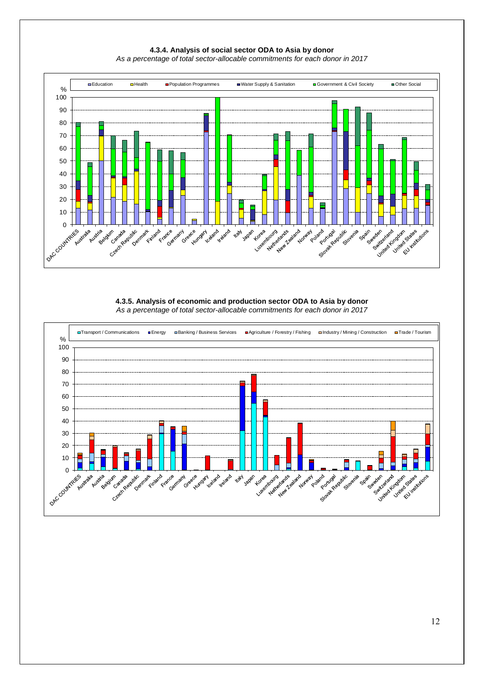

### **4.3.4. Analysis of social sector ODA to Asia by donor** *As a percentage of total sector-allocable commitments for each donor in 2017*

### **4.3.5. Analysis of economic and production sector ODA to Asia by donor**  *As a percentage of total sector-allocable commitments for each donor in 2017*

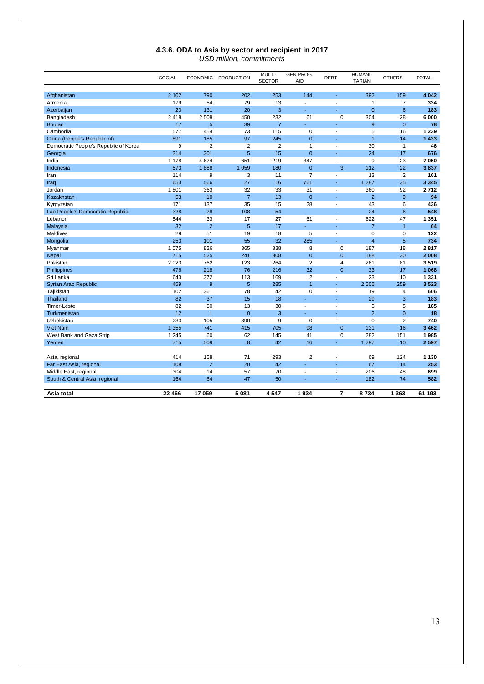### **4.3.6. ODA to Asia by sector and recipient in 2017** *USD million, commitments*

|                                       | <b>SOCIAL</b> | <b>ECONOMIC</b> | <b>PRODUCTION</b> | MULTI-<br><b>SECTOR</b> | GEN.PROG.<br><b>AID</b>  | <b>DEBT</b>    | HUMANI-<br><b>TARIAN</b> | <b>OTHERS</b>  | <b>TOTAL</b> |
|---------------------------------------|---------------|-----------------|-------------------|-------------------------|--------------------------|----------------|--------------------------|----------------|--------------|
| Afghanistan                           | 2 1 0 2       | 790             | 202               | 253                     | 144                      |                | 392                      | 159            | 4 0 4 2      |
| Armenia                               | 179           | 54              | 79                | 13                      | $\overline{\phantom{a}}$ | ÷,             | 1                        | $\overline{7}$ | 334          |
| Azerbaijan                            | 23            | 131             | 20                | 3                       | $\omega$                 | $\omega$       | $\overline{0}$           | 6              | 183          |
| Bangladesh                            | 2 4 1 8       | 2508            | 450               | 232                     | 61                       | $\mathbf 0$    | 304                      | 28             | 6000         |
| <b>Bhutan</b>                         | 17            | 5               | 39                | $\overline{7}$          |                          |                | 9                        | $\mathbf{0}$   | 78           |
| Cambodia                              | 577           | 454             | 73                | 115                     | 0                        | $\overline{a}$ | 5                        | 16             | 1 2 3 9      |
| China (People's Republic of)          | 891           | 185             | 97                | 245                     | $\mathbf{0}$             |                | $\mathbf{1}$             | 14             | 1433         |
| Democratic People's Republic of Korea | $9\,$         | $\overline{2}$  | $\overline{2}$    | $\overline{2}$          | $\mathbf{1}$             | $\overline{a}$ | 30                       | $\mathbf{1}$   | 46           |
| Georgia                               | 314           | 301             | 5                 | 15                      | $\overline{0}$           | ä,             | 24                       | 17             | 676          |
| India                                 | 1 1 7 8       | 4624            | 651               | 219                     | 347                      | $\overline{a}$ | 9                        | 23             | 7 0 5 0      |
| Indonesia                             | 573           | 1888            | 1 0 5 9           | 180                     | $\mathbf 0$              | 3              | 112                      | 22             | 3837         |
| Iran                                  | 114           | 9               | 3                 | 11                      | $\overline{7}$           | $\mathbf{r}$   | 13                       | $\overline{2}$ | 161          |
| Iraq                                  | 653           | 566             | 27                | 16                      | 761                      | ä,             | 1 2 8 7                  | 35             | 3 3 4 5      |
| Jordan                                | 1801          | 363             | 32                | 33                      | 31                       | $\overline{a}$ | 360                      | 92             | 2712         |
| Kazakhstan                            | 53            | 10              | $\overline{7}$    | 13                      | $\overline{0}$           | ä,             | $\overline{2}$           | 9              | 94           |
| Kyrgyzstan                            | 171           | 137             | 35                | 15                      | 28                       | $\blacksquare$ | 43                       | 6              | 436          |
| Lao People's Democratic Republic      | 328           | 28              | 108               | 54                      | L,                       | ä,             | 24                       | 6              | 548          |
| Lebanon                               | 544           | 33              | 17                | 27                      | 61                       | $\blacksquare$ | 622                      | 47             | 1 3 5 1      |
| Malaysia                              | 32            | $\overline{2}$  | 5                 | 17                      | ÷                        | ä,             | $\overline{7}$           | $\mathbf{1}$   | 64           |
| Maldives                              | 29            | 51              | 19                | 18                      | 5                        | $\blacksquare$ | 0                        | $\mathbf 0$    | 122          |
| Mongolia                              | 253           | 101             | 55                | 32                      | 285                      | ÷              | 4                        | 5              | 734          |
| Myanmar                               | 1 0 7 5       | 826             | 365               | 338                     | 8                        | 0              | 187                      | 18             | 2817         |
| Nepal                                 | 715           | 525             | 241               | 308                     | $\mathbf 0$              | $\mathbf{0}$   | 188                      | 30             | 2 0 0 8      |
| Pakistan                              | 2 0 2 3       | 762             | 123               | 264                     | $\overline{2}$           | $\overline{4}$ | 261                      | 81             | 3519         |
| Philippines                           | 476           | 218             | 76                | 216                     | 32                       | $\mathbf 0$    | 33                       | 17             | 1 068        |
| Sri Lanka                             | 643           | 372             | 113               | 169                     | $\overline{2}$           | ÷,             | 23                       | 10             | 1 3 3 1      |
| Syrian Arab Republic                  | 459           | 9               | 5                 | 285                     | $\overline{1}$           | ä,             | 2 5 0 5                  | 259            | 3523         |
| Tajikistan                            | 102           | 361             | 78                | 42                      | $\mathbf 0$              | ÷,             | 19                       | $\overline{4}$ | 606          |
| Thailand                              | 82            | 37              | 15                | 18                      | ÷                        | ÷              | 29                       | 3              | 183          |
| <b>Timor-Leste</b>                    | 82            | 50              | 13                | 30                      | $\overline{\phantom{a}}$ | ÷,             | 5                        | 5              | 185          |
| Turkmenistan                          | 12            | $\overline{1}$  | $\mathbf 0$       | 3                       |                          | ٠              | $\overline{2}$           | $\mathbf{0}$   | 18           |
| Uzbekistan                            | 233           | 105             | 390               | 9                       | $\mathbf 0$              | ÷,             | 0                        | $\overline{2}$ | 740          |
| <b>Viet Nam</b>                       | 1 3 5 5       | 741             | 415               | 705                     | 98                       | $\mathbf 0$    | 131                      | 16             | 3 4 6 2      |
| West Bank and Gaza Strip              | 1 2 4 5       | 60              | 62                | 145                     | 41                       | $\mathbf 0$    | 282                      | 151            | 1985         |
| Yemen                                 | 715           | 509             | 8                 | 42                      | 16                       | u,             | 1 2 9 7                  | 10             | 2597         |
|                                       |               |                 |                   |                         |                          |                |                          |                |              |
| Asia, regional                        | 414           | 158             | 71                | 293                     | $\overline{2}$           | Ĭ.             | 69                       | 124            | 1 1 3 0      |
| Far East Asia, regional               | 108           | $\overline{2}$  | 20                | 42                      |                          |                | 67                       | 14             | 253          |
| Middle East, regional                 | 304           | 14              | 57                | 70                      | $\blacksquare$           | ä,             | 206                      | 48             | 699          |
| South & Central Asia, regional        | 164           | 64              | 47                | 50                      | $\sim$                   | $\sim$         | 182                      | 74             | 582          |
| Asia total                            | 22 4 66       | 17059           | 5 081             | 4547                    | 1934                     | $\overline{7}$ | 8734                     | 1 3 6 3        | 61 193       |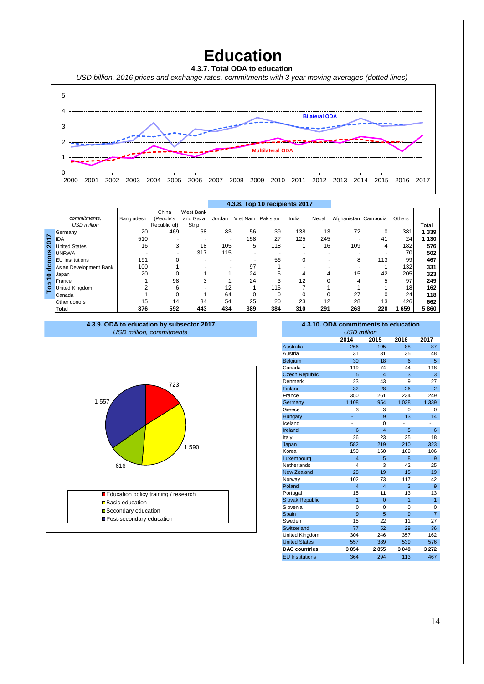**Education**

**4.3.7. Total ODA to education**  *USD billion, 2016 prices and exchange rates, commitments with 3 year moving averages (dotted lines)*



|          |                        |            |                    |                       |        |                   | 4.3.8. Top 10 recipients 2017 |       |          |                      |     |                 |         |
|----------|------------------------|------------|--------------------|-----------------------|--------|-------------------|-------------------------------|-------|----------|----------------------|-----|-----------------|---------|
|          | commitments.           | Bangladesh | China<br>(People's | West Bank<br>and Gaza | Jordan | Viet Nam Pakistan |                               | India | Nepal    | Afghanistan Cambodia |     | Others          |         |
|          | <b>USD million</b>     |            | Republic of)       | Strip                 |        |                   |                               |       |          |                      |     |                 | Total   |
|          | Germany                | 20         | 469                | 68                    | 83     | 56                | 39                            | 138   | 13       | 72                   | 0   | 381             | 1 3 3 9 |
| δ        | <b>IDA</b>             | 510        |                    |                       |        | 158               | 27                            | 125   | 245      |                      | 41  | 24              | 1 130   |
| Ñ        | <b>United States</b>   | 16         | 3                  | 18                    | 105    | 5                 | 118                           |       | 16       | 109                  | 4   | 182             | 576     |
| ၑၟ       | <b>UNRWA</b>           |            |                    | 317                   | 115    |                   |                               |       |          |                      |     | 70              | 502     |
|          | <b>EU</b> Institutions | 191        |                    |                       | -      |                   | 56                            | 0     |          | 8                    | 113 | 99              | 467     |
|          | Asian Development Bank | 100        |                    |                       |        | 97                |                               |       |          |                      |     | 132             | 331     |
| o        | Japan                  | 20         |                    |                       |        | 24                | 5                             |       |          | 15                   | 42  | 205             | 323     |
| $\Omega$ | France                 |            | 98                 | 3                     |        | 24                | 3                             | 12    | $\Omega$ |                      | 5   | 97              | 249     |
| 흽        | United Kingdom         |            | 6                  |                       | 12     |                   | 115                           |       |          |                      |     | 18 <sub>h</sub> | 162     |
|          | Canada                 |            |                    |                       | 64     |                   | 0                             |       | $\Omega$ | 27                   | 0   | 24              | 118     |
|          | Other donors           | 15         | 14                 | 34                    | 54     | 25                | 20                            | 23    | 12       | 28                   | 13  | 426             | 662     |
|          | Total                  | 876        | 592                | 443                   | 434    | 389               | 384                           | 310   | 291      | 263                  | 220 | 659             | 5860    |

#### **4.3.8. Top 10 recipients 2017**

**<sup>4.3.9.</sup> ODA to education by subsector 2017** *USD million, commitments*



# **4.3.10. ODA commitments to education**

|                        | <b>USD million</b>      |                         |          |                |
|------------------------|-------------------------|-------------------------|----------|----------------|
|                        | 2014                    | 2015                    | 2016     | 2017           |
| <b>Australia</b>       | 266                     | 195                     | 88       | 87             |
| Austria                | 31                      | 31                      | 35       | 48             |
| Belgium                | 30                      | 18                      | 6        | 5              |
| Canada                 | 119                     | 74                      | 44       | 118            |
| <b>Czech Republic</b>  | 5                       | $\overline{\mathbf{4}}$ | 3        | 3              |
| Denmark                | 23                      | 43                      | 9        | 27             |
| Finland                | 32                      | 28                      | 26       | $\overline{2}$ |
| France                 | 350                     | 261                     | 234      | 249            |
| Germany                | 1 108                   | 954                     | 1 0 38   | 1 3 3 9        |
| Greece                 | 3                       | 3                       | $\Omega$ | $\Omega$       |
| Hungary                |                         | 9                       | 13       | 14             |
| Iceland                | $\overline{a}$          | $\Omega$                |          | $\overline{a}$ |
| Ireland                | 6                       | $\overline{\mathbf{4}}$ | 5        | 6              |
| Italy                  | 26                      | 23                      | 25       | 18             |
| Japan                  | 582                     | 219                     | 210      | 323            |
| Korea                  | 150                     | 160                     | 169      | 106            |
| Luxembourg             | $\overline{\mathbf{4}}$ | 5                       | 8        | 9              |
| Netherlands            | 4                       | 3                       | 42       | 25             |
| <b>New Zealand</b>     | 28                      | 19                      | 15       | 19             |
| Norway                 | 102                     | 73                      | 117      | 42             |
| Poland                 | $\overline{\mathbf{4}}$ | $\overline{\mathbf{4}}$ | 3        | 9              |
| Portugal               | 15                      | 11                      | 13       | 13             |
| <b>Slovak Republic</b> | $\overline{1}$          | $\Omega$                | 1        | 1              |
| Slovenia               | $\Omega$                | $\Omega$                | 0        | 0              |
| Spain                  | 9                       | 5                       | 9        | $\overline{7}$ |
| Sweden                 | 15                      | 22                      | 11       | 27             |
| Switzerland            | 77                      | 52                      | 29       | 36             |
| United Kingdom         | 304                     | 246                     | 357      | 162            |
| <b>United States</b>   | 557                     | 389                     | 539      | 576            |
| <b>DAC</b> countries   | 3854                    | 2855                    | 3 0 4 9  | 3 2 7 2        |
| <b>EU Institutions</b> | 364                     | 294                     | 113      | 467            |
|                        |                         |                         |          |                |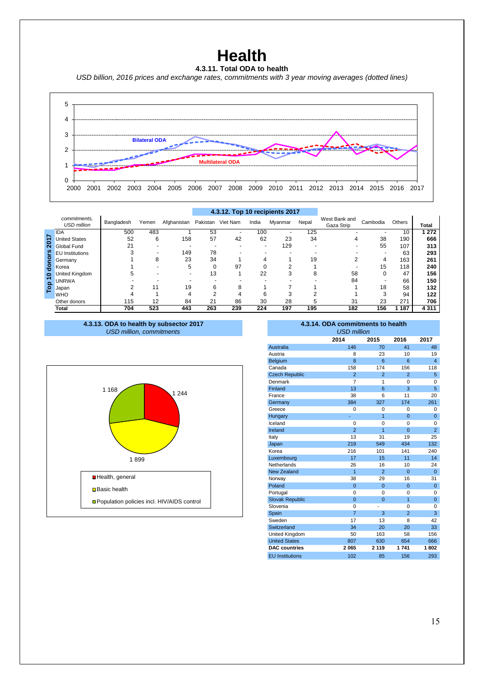# **Health**



*USD billion, 2016 prices and exchange rates, commitments with 3 year moving averages (dotted lines)*



|                    |                                    |            |       |             |          | 4.3.12. Top 10 recipients 2017 |       |         |       |                             |          |        |         |
|--------------------|------------------------------------|------------|-------|-------------|----------|--------------------------------|-------|---------|-------|-----------------------------|----------|--------|---------|
|                    | commitments,<br><b>USD million</b> | Bangladesh | Yemen | Afghanistan | Pakistan | Viet Nam                       | India | Mvanmar | Nepal | West Bank and<br>Gaza Strip | Cambodia | Others | Total   |
|                    | <b>IDA</b>                         | 500        | 483   |             | 53       |                                | 100   |         | 125   |                             |          | 10     | 272     |
| δ                  | <b>United States</b>               | 52         | 6     | 158         | 57       | 42                             | 62    | 23      | 34    |                             | 38       | 190    | 666     |
| $\bar{\mathbf{N}}$ | Global Fund                        | 21         |       |             |          |                                |       | 129     |       |                             | 55       | 107    | 313     |
|                    | ၑၟ<br><b>EU</b> Institutions       |            |       | 149         | 78       |                                |       |         |       |                             |          | 63     | 293     |
|                    | 옫<br>Germany                       |            | 8     | 23          | 34       |                                |       |         | 19    |                             | 4        | 163    | 261     |
|                    | 음<br>Korea                         |            |       | 5           |          | 97                             |       | ⌒       |       |                             | 15       | 118    | 240     |
| 0                  | United Kingdom                     |            |       |             | 13       |                                | 22    | 3       | 8     | 58                          | 0        | 47     | 156     |
|                    | <b>UNRWA</b>                       |            |       |             |          |                                |       |         |       | 84                          |          | 66     | 150     |
| <b>Cop</b>         | Japan                              |            | 11    | 19          | b        | 8                              |       |         |       |                             | 18       | 58     | 132     |
|                    | <b>WHO</b>                         |            |       |             |          |                                | 6     |         |       |                             | 3        | 94     | 122     |
|                    | Other donors                       | 115        | 12    | 84          | 21       | 86                             | 30    | 28      |       | 31                          | 23       | 271    | 706     |
|                    | Total                              | 704        | 523   | 443         | 263      | 239                            | 224   | 197     | 195   | 182                         | 156      | 187    | 4 3 1 1 |





| 4.3.13. ODA to health by subsector 2017<br><b>USD million, commitments</b> |                        | 4.3.14. ODA commitments to health<br><b>USD million</b> |                |                |                 |
|----------------------------------------------------------------------------|------------------------|---------------------------------------------------------|----------------|----------------|-----------------|
|                                                                            |                        | 2014                                                    | 2015           | 2016           | 2017            |
|                                                                            | Australia              | 146                                                     | 70             | 41             | 48              |
|                                                                            | Austria                | 8                                                       | 23             | 10             | 19              |
|                                                                            | Belgium                | 8                                                       | 6              | 6              | $\overline{4}$  |
|                                                                            | Canada                 | 158                                                     | 174            | 156            | 118             |
|                                                                            | <b>Czech Republic</b>  | $\overline{2}$                                          | $\overline{2}$ | $\overline{2}$ | $\sqrt{5}$      |
|                                                                            | Denmark                | $\overline{7}$                                          | 1              | 0              | $\mathbf 0$     |
| 1 1 6 8                                                                    | Finland                | 13                                                      | 6              | 3              | $5\phantom{.0}$ |
| 1 2 4 4                                                                    | France                 | 38                                                      | 6              | 11             | 20              |
|                                                                            | Germany                | 384                                                     | 327            | 174            | 261             |
|                                                                            | Greece                 | $\mathbf 0$                                             | $\mathbf 0$    | 0              | $\mathbf 0$     |
|                                                                            | Hungary                |                                                         | $\overline{1}$ | $\mathbf 0$    | $\mathbf{0}$    |
|                                                                            | Iceland                | $\mathbf 0$                                             | $\mathbf 0$    | 0              | $\mathbf 0$     |
|                                                                            | Ireland                | $\overline{2}$                                          | $\overline{1}$ | $\mathbf 0$    | $\overline{2}$  |
|                                                                            | Italy                  | 13                                                      | 31             | 19             | 25              |
|                                                                            | Japan                  | 219                                                     | 549            | 434            | 132             |
|                                                                            | Korea                  | 216                                                     | 101            | 141            | 240             |
| 1899                                                                       | Luxembourg             | 17                                                      | 15             | 11             | 14              |
|                                                                            | Netherlands            | 26                                                      | 16             | 10             | 24              |
|                                                                            | <b>New Zealand</b>     | $\overline{1}$                                          | $\overline{2}$ | $\pmb{0}$      | $\mathbf{0}$    |
| Health, general                                                            | Norway                 | 38                                                      | 29             | 16             | 31              |
| <b>□</b> Basic health                                                      | Poland                 | $\mathbf{0}$                                            | $\mathbf{0}$   | $\mathbf 0$    | $\mathbf{0}$    |
|                                                                            | Portugal               | $\mathbf 0$                                             | $\mathbf 0$    | 0              | $\Omega$        |
| □ Population policies incl. HIV/AIDS control                               | <b>Slovak Republic</b> | $\mathbf{0}$                                            | $\mathbf{0}$   | 1              | $\mathbf{0}$    |
|                                                                            | Slovenia               | $\mathbf 0$                                             |                | 0              | $\mathbf 0$     |
|                                                                            | Spain                  | $\overline{7}$                                          | 3              | $\overline{2}$ | 3               |
|                                                                            | Sweden                 | 17                                                      | 13             | 8              | 42              |
|                                                                            | Switzerland            | 34                                                      | 20             | 20             | 33              |
|                                                                            | United Kingdom         | 50                                                      | 163            | 58             | 156             |
|                                                                            | <b>United States</b>   | 807                                                     | 630            | 654            | 666             |
|                                                                            | <b>DAC</b> countries   | 2065                                                    | 2 1 1 9        | 1741           | 1802            |
|                                                                            | <b>EU</b> Institutions | 102                                                     | 85             | 156            | 293             |
|                                                                            |                        |                                                         |                |                |                 |